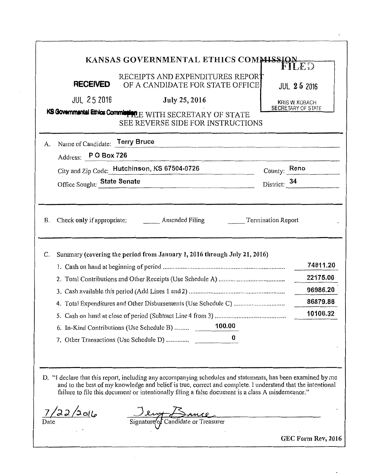|    | <b>RECEIVED</b>                | KANSAS GOVERNMENTAL ETHICS COMMISSION<br>RECEIPTS AND EXPENDITURES REPORT<br>OF A CANDIDATE FOR STATE OFFICE                                                                                                                                                                                                                     |                                     | FILED<br><b>JUL 25 2016</b>          |
|----|--------------------------------|----------------------------------------------------------------------------------------------------------------------------------------------------------------------------------------------------------------------------------------------------------------------------------------------------------------------------------|-------------------------------------|--------------------------------------|
|    | <b>JUL 25 2016</b>             | <b>July 25, 2016</b>                                                                                                                                                                                                                                                                                                             |                                     | KRIS W. KOBACH<br>SECRETARY OF STATE |
|    |                                | KS Governmental Ethics Commission E WITH SECRETARY OF STATE<br>SEE REVERSE SIDE FOR INSTRUCTIONS                                                                                                                                                                                                                                 |                                     |                                      |
| A. | Name of Candidate: Terry Bruce |                                                                                                                                                                                                                                                                                                                                  |                                     |                                      |
|    | Address: P O Box 726           |                                                                                                                                                                                                                                                                                                                                  |                                     |                                      |
|    |                                | City and Zip Code: Hutchinson, KS 67504-0726                                                                                                                                                                                                                                                                                     |                                     | County: Reno                         |
|    | Office Sought: State Senate    |                                                                                                                                                                                                                                                                                                                                  | District: 34                        |                                      |
|    |                                |                                                                                                                                                                                                                                                                                                                                  |                                     |                                      |
| Β. |                                | Check only if appropriate: Amended Filing                                                                                                                                                                                                                                                                                        | <b>Example 1</b> Termination Report |                                      |
|    |                                | Summary (covering the period from January 1, 2016 through July 21, 2016)                                                                                                                                                                                                                                                         |                                     | 74811.20                             |
|    |                                |                                                                                                                                                                                                                                                                                                                                  |                                     | 22175.00                             |
|    |                                |                                                                                                                                                                                                                                                                                                                                  |                                     | 96986.20<br>86879.88                 |
|    |                                |                                                                                                                                                                                                                                                                                                                                  |                                     | 10106.32                             |
|    |                                | 100.00<br>6. In-Kind Contributions (Use Schedule B)                                                                                                                                                                                                                                                                              |                                     |                                      |
| C. |                                | 7. Other Transactions (Use Schedule D)                                                                                                                                                                                                                                                                                           |                                     |                                      |
|    |                                |                                                                                                                                                                                                                                                                                                                                  |                                     |                                      |
|    |                                | D. "I declare that this report, including any accompanying schedules and statements, has been examined by me<br>and to the best of my knowledge and belief is true, correct and complete. I understand that the intentional<br>failure to file this document or intentionally filing a false document is a class A misdemeanor." |                                     |                                      |

 $\ddot{\phantom{a}}$ 

 $\label{eq:2} \frac{1}{\sqrt{2}}\sum_{i=1}^n\frac{1}{\sqrt{2}}\sum_{i=1}^n\frac{1}{\sqrt{2}}\sum_{i=1}^n\frac{1}{\sqrt{2}}\sum_{i=1}^n\frac{1}{\sqrt{2}}\sum_{i=1}^n\frac{1}{\sqrt{2}}\sum_{i=1}^n\frac{1}{\sqrt{2}}\sum_{i=1}^n\frac{1}{\sqrt{2}}\sum_{i=1}^n\frac{1}{\sqrt{2}}\sum_{i=1}^n\frac{1}{\sqrt{2}}\sum_{i=1}^n\frac{1}{\sqrt{2}}\sum_{i=1}^n\frac{1$ 

 $\mathcal{A}^{\mathcal{A}}$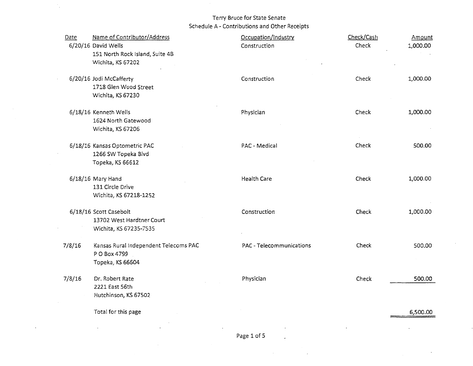$\mathcal{I}_{\mathcal{A}}$ 

| Date   | Name of Contributor/Address<br>6/20/16 David Wells<br>151 North Rock Island, Suite 4B<br>Wichita, KS 67202 | Occupation/Industry<br>Construction | Check/Cash<br>Check | Amount<br>1,000.00 |
|--------|------------------------------------------------------------------------------------------------------------|-------------------------------------|---------------------|--------------------|
|        | 6/20/16 Jodi McCafferty<br>1718 Glen Wood Street<br>Wichita, KS 67230                                      | Construction                        | Check               | 1,000.00           |
|        | 6/18/16 Kenneth Wells<br>1624 North Gatewood<br>Wichita, KS 67206                                          | Physician                           | Check               | 1,000.00           |
|        | 6/18/16 Kansas Optometric PAC<br>1266 SW Topeka Blvd<br>Topeka, KS 66612                                   | PAC - Medical                       | Check               | 500.00             |
|        | 6/18/16 Mary Hand<br>131 Circle Drive<br>Wichita, KS 67218-1252                                            | <b>Health Care</b>                  | Check               | 1,000.00           |
|        | 6/18/16 Scott Casebolt<br>13702 West Hardtner Court<br>Wichita, KS 67235-7535                              | Construction                        | Check               | 1,000.00           |
| 7/8/16 | Kansas Rural Independent Telecoms PAC<br>P O Box 4799<br>Topeka, KS 66604                                  | PAC - Telecommunications            | Check               | 500.00             |
| 7/8/16 | Dr. Robert Rate<br>2221 East 56th<br>Hutchinson, KS 67502                                                  | Physician                           | Check               | 500.00             |
|        | Total for this page                                                                                        |                                     |                     | 6,500.00           |

 $\mathcal{L}_{\mathcal{A}}$ 

 $\epsilon$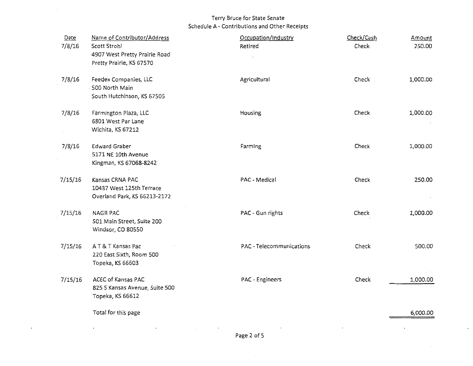| Check<br>Agricultural<br>7/8/16<br>Feedex Companies, LLC<br>500 North Main<br>South Hutchinson, KS 67505<br>Check<br>7/8/16<br>Farmington Plaza, LLC<br>Housing<br>6801 West Par Lane<br>Wichita, KS 67212<br>Check<br>Farming<br><b>Edward Graber</b><br>7/8/16<br>5171 NE 10th Avenue<br>Kingman, KS 67068-8242<br>Check<br>PAC - Medical<br>7/15/16<br>Kansas CRNA PAC<br>10437 West 125th Terrace<br>Overland Park, KS 66213-2172<br>PAC - Gun rights<br>Check<br>7/15/16<br><b>NAGR PAC</b><br>501 Main Street, Suite 200<br>Windsor, CO 80550<br>PAC - Telecommunications<br>Check<br>AT&T Kansas Pac<br>7/15/16<br>220 East Sixth, Room 500<br>Topeka, KS 66603<br>Check<br>ACEC of Kansas PAC<br>PAC - Engineers<br>7/15/16<br>825 S Kansas Avenue, Suite 500<br>Topeka, KS 66612<br>Total for this page | Date<br>7/8/16 | Name of Contributor/Address<br>Scott Strohl<br>4907 West Pretty Prairie Road<br>Pretty Prairie, KS 67570 | Occupation/Industry<br>Retired | Check/Cash<br>Check | Amount<br>250.00 |
|------------------------------------------------------------------------------------------------------------------------------------------------------------------------------------------------------------------------------------------------------------------------------------------------------------------------------------------------------------------------------------------------------------------------------------------------------------------------------------------------------------------------------------------------------------------------------------------------------------------------------------------------------------------------------------------------------------------------------------------------------------------------------------------------------------------|----------------|----------------------------------------------------------------------------------------------------------|--------------------------------|---------------------|------------------|
|                                                                                                                                                                                                                                                                                                                                                                                                                                                                                                                                                                                                                                                                                                                                                                                                                  |                |                                                                                                          |                                |                     | 1,000.00         |
|                                                                                                                                                                                                                                                                                                                                                                                                                                                                                                                                                                                                                                                                                                                                                                                                                  |                |                                                                                                          |                                |                     | 1,000.00         |
|                                                                                                                                                                                                                                                                                                                                                                                                                                                                                                                                                                                                                                                                                                                                                                                                                  |                |                                                                                                          |                                |                     | 1,000.00         |
|                                                                                                                                                                                                                                                                                                                                                                                                                                                                                                                                                                                                                                                                                                                                                                                                                  |                |                                                                                                          |                                |                     | 250.00           |
|                                                                                                                                                                                                                                                                                                                                                                                                                                                                                                                                                                                                                                                                                                                                                                                                                  |                |                                                                                                          |                                |                     | 1,000.00         |
|                                                                                                                                                                                                                                                                                                                                                                                                                                                                                                                                                                                                                                                                                                                                                                                                                  |                |                                                                                                          |                                |                     | 500.00           |
|                                                                                                                                                                                                                                                                                                                                                                                                                                                                                                                                                                                                                                                                                                                                                                                                                  |                |                                                                                                          |                                |                     | 1,000.00         |
|                                                                                                                                                                                                                                                                                                                                                                                                                                                                                                                                                                                                                                                                                                                                                                                                                  |                |                                                                                                          |                                |                     | 6,000.00         |

 $\ddot{\phantom{a}}$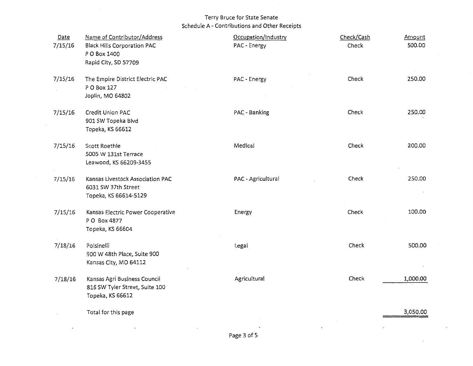| Date<br>7/15/16 | Name of Contributor/Address<br><b>Black Hills Corporation PAC</b><br>P O Box 1400<br>Rapid City, SD 57709 | Occupation/Industry<br>PAC - Energy | Check/Cash<br>Check | Amount<br>500.00 |
|-----------------|-----------------------------------------------------------------------------------------------------------|-------------------------------------|---------------------|------------------|
| 7/15/16         | The Empire District Electric PAC<br>P O Box 127<br>Joplin, MO 64802                                       | PAC - Energy                        | Check               | 250.00           |
| 7/15/16         | Credit Union PAC<br>901 SW Topeka Blvd<br>Topeka, KS 66612                                                | PAC - Banking                       | Check               | 250.00           |
| 7/15/16         | Scott Roethle<br>5005 W 131st Terrace<br>Leawood, KS 66209-3455                                           | Medical                             | Check               | 200.00           |
| 7/15/16         | Kansas Livestock Association PAC<br>6031 SW 37th Street<br>Topeka, KS 66614-5129                          | PAC - Agricultural                  | Check               | 250.00           |
| 7/15/16         | Kansas Electric Power Cooperative<br>P O Box 4877<br>Topeka, KS 66604                                     | Energy                              | Check               | 100.00           |
| 7/18/16         | Polsinelli<br>900 W 48th Place, Suite 900<br>Kansas City, MO 64112                                        | Legal                               | Check               | 500.00           |
| 7/18/16         | Kansas Agri Business Council<br>816 SW Tyler Street, Suite 100<br>Topeka, KS 66612                        | Agricultural                        | Check               | 1,000.00         |
|                 | Total for this page                                                                                       |                                     |                     | 3,050.00         |

 $\epsilon$ 

 $\ddot{\phantom{a}}$ 

 $\overline{\phantom{a}}$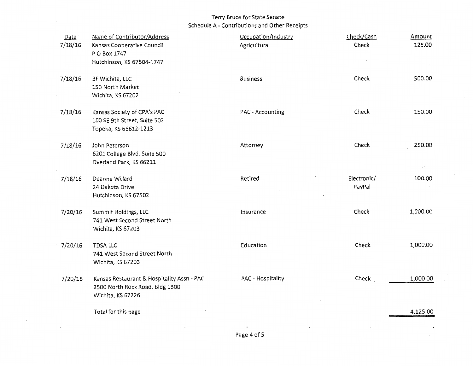| Date    | Name of Contributor/Address                                                                        | Occupation/Industry | Check/Cash            | Amount   |
|---------|----------------------------------------------------------------------------------------------------|---------------------|-----------------------|----------|
| 7/18/16 | Kansas Cooperative Council<br>P O Box 1747                                                         | Agricultural        | Check                 | 125.00   |
|         | Hutchinson, KS 67504-1747                                                                          |                     |                       |          |
| 7/18/16 | BF Wichita, LLC<br>150 North Market<br>Wichita, KS 67202                                           | <b>Business</b>     | Check                 | 500.00   |
| 7/18/16 | Kansas Society of CPA's PAC<br>100 SE 9th Street, Suite 502<br>Topeka, KS 66612-1213               | PAC - Accounting    | Check                 | 150.00   |
| 7/18/16 | John Peterson<br>6201 College Blvd. Suite 500<br>Overland Park, KS 66211                           | Attorney            | Check                 | 250.00   |
| 7/18/16 | Deanne Willard<br>24 Dakota Drive<br>Hutchinson, KS 67502                                          | Retired             | Electronic/<br>PayPal | 100.00   |
| 7/20/16 | Summit Holdings, LLC<br>741 West Second Street North<br>Wichita, KS 67203                          | Insurance           | Check                 | 1,000.00 |
| 7/20/16 | TDSA LLC<br>741 West Second Street North<br>Wichita, KS 67203                                      | Education           | Check                 | 1,000.00 |
| 7/20/16 | Kansas Restaurant & Hospitality Assn - PAC<br>3500 North Rock Road, Bldg 1300<br>Wichita, KS 67226 | PAC - Hospitality   | Check                 | 1,000.00 |
|         | Total for this page                                                                                |                     |                       | 4,125.00 |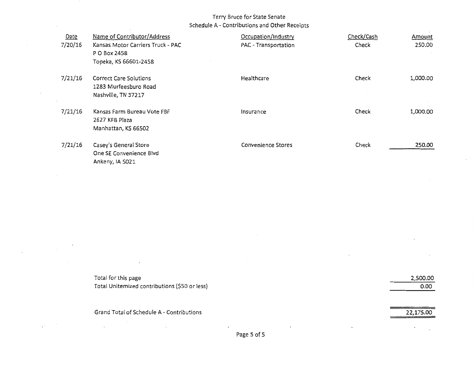| Date<br>7/20/16 | Name of Contributor/Address<br>Kansas Motor Carriers Truck - PAC<br>P O Box 2458<br>Topeka, KS 66601-2458 | Occupation/Industry<br>PAC - Transportation | Check/Cash<br>Check | Amount<br>250,00 |
|-----------------|-----------------------------------------------------------------------------------------------------------|---------------------------------------------|---------------------|------------------|
| 7/21/16         | <b>Correct Care Solutions</b><br>1283 Murfeesburo Road<br>Nashville, TN 37217                             | Healthcare                                  | Check               | 1,000.00         |
| 7/21/16         | Kansas Farm Bureau Vote FBF<br>2627 KFB Plaza<br>Manhattan, KS 66502                                      | Insurance                                   | Check               | 1,000.00         |
| 7/21/16         | Casey's General Store<br>One SE Convenience Blvd<br>Ankeny, IA 5021                                       | <b>Convenience Stores</b>                   | Check               | 250.00           |

| Total for this page                           | 2,500.00 |
|-----------------------------------------------|----------|
| Total Unitemized contributions (\$50 or less) | 0.00     |
|                                               |          |

 $\cdot$ 

 $\mathcal{F}^{\mathcal{G}}_{\mathcal{G}}$  and  $\mathcal{G}^{\mathcal{G}}_{\mathcal{G}}$ 

Grand Total of Schedule A - Contributions 22,175.00

 $\sim$ 

 $\sim 10^{-11}$ 

 $\sim$ 

 $\sim$ 

 $\omega_{\rm{max}}=10$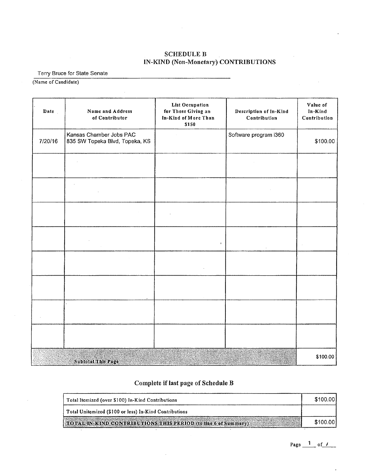# SCHEDULE B IN-KIND (Non-Monetary) CONTRIBUTIONS

Terry Bruce for State Senate

(Name of Candidate)

| Date    | Name and Address<br>of Contributor                        | List Occupation<br>for Those Giving an<br>In-Kind of More Than<br>\$150 | Description of In-Kind<br>Contribution | Value of<br>In-Kind<br>Contribution |
|---------|-----------------------------------------------------------|-------------------------------------------------------------------------|----------------------------------------|-------------------------------------|
| 7/20/16 | Kansas Chamber Jobs PAC<br>835 SW Topeka Blvd, Topeka, KS |                                                                         | Software program i360                  | \$100.00                            |
|         |                                                           |                                                                         |                                        |                                     |
|         |                                                           |                                                                         |                                        |                                     |
|         |                                                           |                                                                         |                                        |                                     |
|         |                                                           | $\pmb{\cdot}$                                                           |                                        |                                     |
|         |                                                           |                                                                         |                                        |                                     |
|         |                                                           |                                                                         |                                        |                                     |
|         |                                                           |                                                                         |                                        |                                     |
|         |                                                           |                                                                         |                                        |                                     |
|         | <b>Subtotal This Page</b>                                 |                                                                         |                                        | \$100.00                            |

# Complete if last page of Schedule B

| Total Itemized (over \$100) In-Kind Contributions                     | \$100.00 |
|-----------------------------------------------------------------------|----------|
| Total Unitemized (\$100 or less) In-Kind Contributions                |          |
| <b>TOTAL IN KIND CONTRIBUTIONS THIS PERIOD (to line 6 of Summary)</b> | \$100.00 |

Page  $\frac{1}{\sqrt{1-\rho}}$  of  $\frac{1}{\sqrt{1-\rho}}$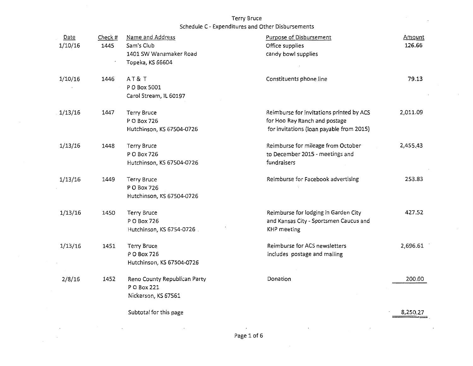Terry Bruce

Schedule C - Expenditures and Other Disbursements

| Date<br>1/10/16 | Check #<br>1445 | Name and Address<br>Sam's Club<br>1401 SW Wanamaker Road<br>Topeka, KS 66604 | <b>Purpose of Disbursement</b><br>Office supplies<br>candy bowl supplies                                              | Amount<br>126.66 |
|-----------------|-----------------|------------------------------------------------------------------------------|-----------------------------------------------------------------------------------------------------------------------|------------------|
| 1/10/16         | 1446            | AT&T<br>P O Box 5001<br>Carol Stream, IL 60197                               | Constituents phone line                                                                                               | 79.13            |
| 1/13/16         | 1447            | <b>Terry Bruce</b><br>P O Box 726<br>Hutchinson, KS 67504-0726               | Reimburse for invitations printed by ACS<br>for Hoo Ray Ranch and postage<br>for invitations (loan payable from 2015) | 2,011.09         |
| 1/13/16         | 1448            | <b>Terry Bruce</b><br>P O Box 726<br>Hutchinson, KS 67504-0726               | Reimburse for mileage from October<br>to December 2015 - meetings and<br>fundraisers                                  | 2,455.43         |
| 1/13/16         | 1449            | Terry Bruce<br>P O Box 726<br>Hutchinson, KS 67504-0726                      | Reimburse for Facebook advertising                                                                                    | 253.83           |
| 1/13/16         | 1450            | <b>Terry Bruce</b><br>P O Box 726<br>Hutchinson, KS 6754-0726.               | Reimburse for lodging in Garden City<br>and Kansas City - Sportsmen Caucus and<br><b>KHP</b> meeting                  | 427.52           |
| 1/13/16         | 1451            | Terry Bruce<br>P O Box 726<br>Hutchinson, KS 67504-0726                      | Reimburse for ACS newsletters<br>includes postage and mailing                                                         | 2,696.61         |
| 2/8/16          | 1452            | Reno County Republican Party<br>P O Box 221<br>Nickerson, KS 67561           | Donation                                                                                                              | 200.00           |
|                 |                 | Subtotal for this page                                                       |                                                                                                                       | 8,250.27         |

 $\sim$ 

 $\cdot$ 

 $\alpha$ 

 $\overline{\phantom{a}}$ 

 $\ddot{\phantom{1}}$ 

 $\mathcal{L}_{\mathcal{A}}$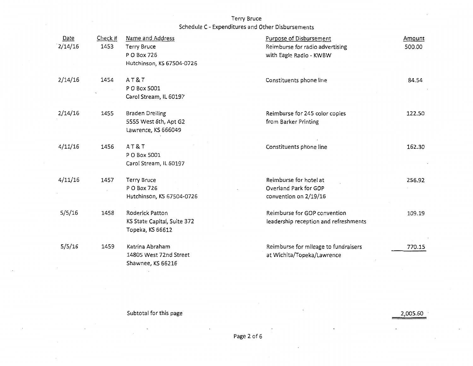Terry Bruce

Schedule C - Expenditures and Other Disbursements

| Date<br>2/14/16 | Check #<br>1453 | Name and Address<br>Terry Bruce<br>P O Box 726<br>Hutchinson, KS 67504-0726 | <b>Purpose of Disbursement</b><br>Reimburse for radio advertising<br>with Eagle Radio - KWBW | Amount<br>500.00 |
|-----------------|-----------------|-----------------------------------------------------------------------------|----------------------------------------------------------------------------------------------|------------------|
| 2/14/16         | 1454            | AT&T<br>P O Box 5001<br>Carol Stream, IL 60197                              | Constituents phone line                                                                      | 84.54            |
| 2/14/16         | 1455            | <b>Braden Dreiling</b><br>5555 West 6th, Apt G2<br>Lawrence, KS 666049      | Reimburse for 245 color copies<br>from Barker Printing                                       | 122.50           |
| 4/11/16         | 1456            | AT&T<br>P O Box 5001<br>Carol Stream, IL 60197                              | Constituents phone line                                                                      | 162.30           |
| 4/11/16         | 1457            | <b>Terry Bruce</b><br>P O Box 726<br>Hutchinson, KS 67504-0726              | Reimburse for hotel at<br>Overland Park for GOP<br>convention on 2/19/16                     | 256.92           |
| 5/5/16          | 1458            | Roderick Patton<br>KS State Capital, Suite 372<br>Topeka, KS 66612          | Reimburse for GOP convention<br>leadership reception and refreshments                        | 109.19           |
| 5/5/16          | 1459            | Katrina Abraham<br>14805 West 72nd Street<br>Shawnee, KS 66216              | Reimburse for mileage to fundraisers<br>at Wichita/Topeka/Lawrence                           | 770.15           |

Subtotal for this page 2,005.60

 $\Box$ 

 $\cdot$ 

 $\mathcal{L}^{\mathcal{L}}_{\mathcal{L}}$  and  $\mathcal{L}^{\mathcal{L}}_{\mathcal{L}}$ 

 $\sim$ 

 $\cdot$ 

 $\cdot$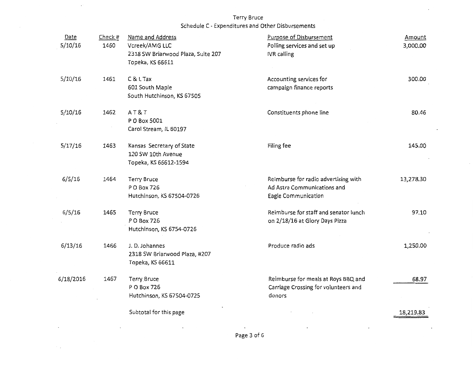$\downarrow$ 

 $\Box$ 

 $\sim$   $\sim$ 

| Date<br>5/10/16 | Check #<br>1460 | Name and Address<br>Vcreek/AMG LLC<br>2318 SW Briarwood Plaza, Suite 207<br>Topeka, KS 66611 | <b>Purpose of Disbursement</b><br>Polling services and set up<br><b>IVR</b> calling        | Amount<br>3,000.00 |
|-----------------|-----------------|----------------------------------------------------------------------------------------------|--------------------------------------------------------------------------------------------|--------------------|
| 5/10/16         | 1461            | C & L Tax<br>601 South Maple<br>South Hutchinson, KS 67505                                   | Accounting services for<br>campaign finance reports                                        | 300.00             |
| 5/10/16         | 1462            | AT&T<br>P O Box 5001<br>Carol Stream, IL 60197                                               | Constituents phone line                                                                    | 80.46              |
| 5/17/16         | 1463            | Kansas Secretary of State<br>120 SW 10th Avenue<br>Topeka, KS 66612-1594                     | Filing fee                                                                                 | 145.00             |
| 6/5/16          | 1464            | <b>Terry Bruce</b><br>P O Box 726<br>Hutchinson, KS 67504-0726                               | Reimburse for radio advertising with<br>Ad Astra Communications and<br>Eagle Communication | 13,278.30          |
| 6/5/16          | 1465            | Terry Bruce<br>P O Box 726<br>Hutchinson, KS 6754-0726                                       | Reimburse for staff and senator lunch<br>on 2/18/16 at Glory Days Pizza                    | 97.10              |
| 6/13/16         | 1466            | J.D. Johannes<br>2318 SW Briarwood Plaza, #207<br>Topeka, KS 66611                           | Produce radio ads                                                                          | 1,250.00           |
| 6/18/2016       | 1467            | Terry Bruce<br>P O Box 726<br>Hutchinson, KS 67504-0725                                      | Reimburse for meals at Roys BBQ and<br>Carriage Crossing for volunteers and<br>donors      | 68.97              |
|                 |                 | Subtotal for this page                                                                       |                                                                                            | 18,219.83          |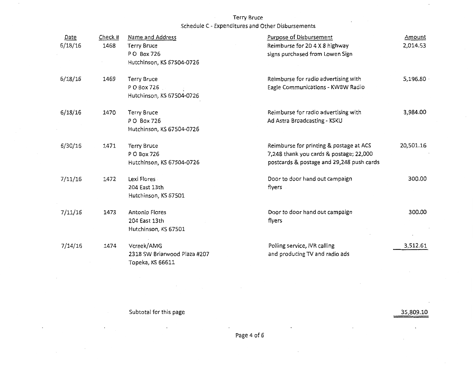| Date<br>6/18/16 | Check #<br>1468 | Name and Address<br><b>Terry Bruce</b><br>PO Box 726<br>Hutchinson, KS 67504-0726 | Purpose of Disbursement<br>Reimburse for 20 4 X 8 highway<br>signs purchased from Lowen Sign                                    | Amount<br>2,014.53 |
|-----------------|-----------------|-----------------------------------------------------------------------------------|---------------------------------------------------------------------------------------------------------------------------------|--------------------|
| 6/18/16         | 1469            | Terry Bruce<br>P O Box 726<br>Hutchinson, KS 67504-0726                           | Reimburse for radio advertising with<br>Eagle Communications - KWBW Radio                                                       | 5,196.80           |
| 6/18/16         | 1470            | Terry Bruce<br>P O Box 726<br>Hutchinson, KS 67504-0726                           | Reimburse for radio advertising with<br>Ad Astra Broadcasting - KSKU                                                            | 3,984.00           |
| 6/30/16         | 1471            | <b>Terry Bruce</b><br>P O Box 726<br>Hutchinson, KS 67504-0726                    | Reimburse for printing & postage at ACS<br>7,248 thank you cards & postage; 22,000<br>postcards & postage and 29,248 push cards | 20,501.16          |
| 7/11/16         | 1472            | Lexi Flores<br>204 East 13th<br>Hutchinson, KS 67501                              | Door to door hand out campaign<br>flyers                                                                                        | 300.00             |
| 7/11/16         | 1473            | Antonio Flores<br>204 East 13th<br>Hutchinson, KS 67501                           | Door to door hand out campaign<br>flyers                                                                                        | 300.00             |
| 7/14/16         | 1474            | Vcreek/AMG<br>2318 SW Briarwood Plaza #207<br>Topeka, KS 66611                    | Polling service, IVR calling<br>and producing TV and radio ads                                                                  | 3,512.61           |

Subtotal for this page 35,809.10

 $\sim 10^{-11}$ 

 $\epsilon$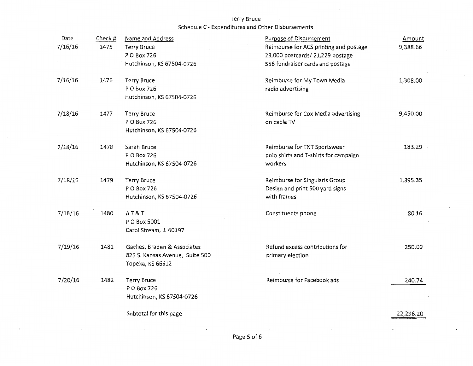| Date    | Check # | Name and Address                | <b>Purpose of Disbursement</b>         | Amount    |
|---------|---------|---------------------------------|----------------------------------------|-----------|
| 7/16/16 | 1475    | <b>Terry Bruce</b>              | Reimburse for ACS printing and postage | 9,388.66  |
|         |         | P O Box 726                     | 23,000 postcards/ 21,229 postage       |           |
|         |         | Hutchinson, KS 67504-0726       | 556 fundraiser cards and postage       |           |
| 7/16/16 | 1476    | <b>Terry Bruce</b>              | Reimburse for My Town Media            | 1,308.00  |
|         |         | P O Box 726                     | radio advertising                      |           |
|         |         | Hutchinson, KS 67504-0726       |                                        |           |
| 7/18/16 | 1477    | <b>Terry Bruce</b>              | Reimburse for Cox Media advertising    | 9,450.00  |
|         |         | P O Box 726                     | on cable TV                            |           |
|         |         | Hutchinson, KS 67504-0726       |                                        |           |
| 7/18/16 | 1478    | Sarah Bruce                     | Reimburse for TNT Sportswear           | 183.29    |
|         |         | P O Box 726                     | polo shirts and T-shirts for campaign  |           |
|         |         | Hutchinson, KS 67504-0726       | workers                                |           |
| 7/18/16 | 1479    | <b>Terry Bruce</b>              | Reimburse for Singularis Group         | 1,395.35  |
|         |         | P O Box 726                     | Design and print 500 yard signs        |           |
|         |         | Hutchinson, KS 67504-0726       | with frames                            |           |
| 7/18/16 | 1480    | AT&T                            | Constituents phone                     | 80.16     |
|         |         | P O Box 5001                    |                                        |           |
|         |         | Carol Stream, IL 60197          |                                        |           |
| 7/19/16 | 1481    | Gaches, Braden & Associates     | Refund excess contributions for        | 250.00    |
|         |         | 825 S. Kansas Avenue, Suite 500 | primary election                       |           |
|         |         | Topeka, KS 66612                |                                        |           |
| 7/20/16 | 1482    | <b>Terry Bruce</b>              | Reimburse for Facebook ads             | 240.74    |
|         |         | P O Box 726                     |                                        |           |
|         |         | Hutchinson, KS 67504-0726       |                                        |           |
|         |         | Subtotal for this page          |                                        | 22,296.20 |

 $\ddot{\phantom{1}}$ 

 $\cdot$